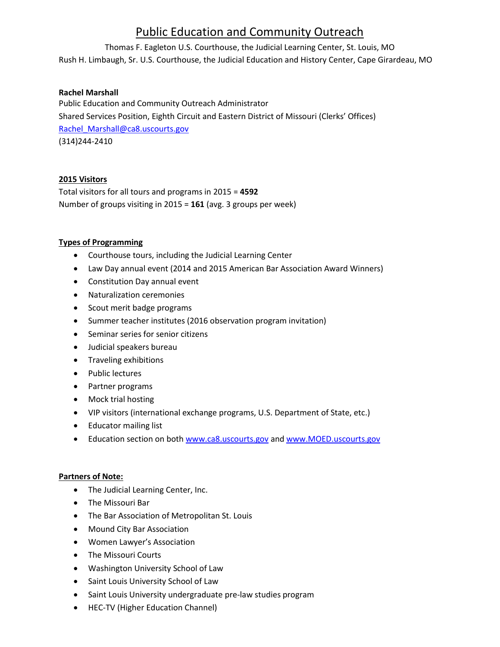# Public Education and Community Outreach

Thomas F. Eagleton U.S. Courthouse, the Judicial Learning Center, St. Louis, MO

Rush H. Limbaugh, Sr. U.S. Courthouse, the Judicial Education and History Center, Cape Girardeau, MO

# **Rachel Marshall**

Public Education and Community Outreach Administrator Shared Services Position, Eighth Circuit and Eastern District of Missouri (Clerks' Offices) [Rachel\\_Marshall@ca8.uscourts.gov](mailto:Rachel_Marshall@ca8.uscourts.gov) (314)244-2410

## **2015 Visitors**

Total visitors for all tours and programs in 2015 = **4592** Number of groups visiting in 2015 = **161** (avg. 3 groups per week)

## **Types of Programming**

- Courthouse tours, including the Judicial Learning Center
- Law Day annual event (2014 and 2015 American Bar Association Award Winners)
- Constitution Day annual event
- Naturalization ceremonies
- Scout merit badge programs
- Summer teacher institutes (2016 observation program invitation)
- Seminar series for senior citizens
- Judicial speakers bureau
- **•** Traveling exhibitions
- Public lectures
- Partner programs
- Mock trial hosting
- VIP visitors (international exchange programs, U.S. Department of State, etc.)
- Educator mailing list
- Education section on bot[h www.ca8.uscourts.gov](http://www.ca8.uscourts.gov/) an[d www.MOED.uscourts.gov](http://www.moed.uscourts.gov/)

## **Partners of Note:**

- The Judicial Learning Center, Inc.
- The Missouri Bar
- The Bar Association of Metropolitan St. Louis
- Mound City Bar Association
- Women Lawyer's Association
- The Missouri Courts
- Washington University School of Law
- Saint Louis University School of Law
- Saint Louis University undergraduate pre-law studies program
- HEC-TV (Higher Education Channel)